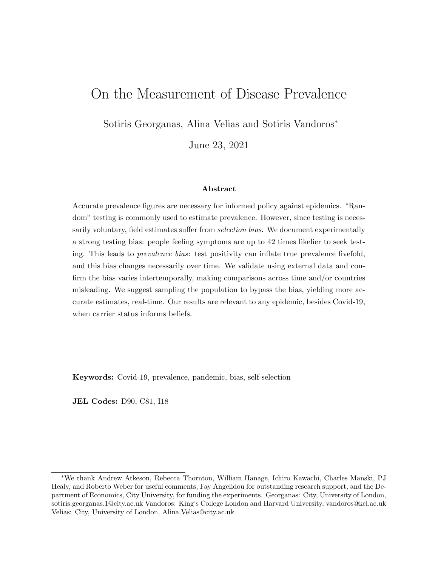# On the Measurement of Disease Prevalence

Sotiris Georganas, Alina Velias and Sotiris Vandoros<sup>∗</sup>

June 23, 2021

#### Abstract

Accurate prevalence figures are necessary for informed policy against epidemics. "Random" testing is commonly used to estimate prevalence. However, since testing is necessarily voluntary, field estimates suffer from *selection bias*. We document experimentally a strong testing bias: people feeling symptoms are up to 42 times likelier to seek testing. This leads to prevalence bias: test positivity can inflate true prevalence fivefold, and this bias changes necessarily over time. We validate using external data and confirm the bias varies intertemporally, making comparisons across time and/or countries misleading. We suggest sampling the population to bypass the bias, yielding more accurate estimates, real-time. Our results are relevant to any epidemic, besides Covid-19, when carrier status informs beliefs.

Keywords: Covid-19, prevalence, pandemic, bias, self-selection

JEL Codes: D90, C81, I18

<sup>∗</sup>We thank Andrew Atkeson, Rebecca Thornton, William Hanage, Ichiro Kawachi, Charles Manski, PJ Healy, and Roberto Weber for useful comments, Fay Angelidou for outstanding research support, and the Department of Economics, City University, for funding the experiments. Georganas: City, University of London, sotiris.georganas.1@city.ac.uk Vandoros: King's College London and Harvard University, vandoros@kcl.ac.uk Velias: City, University of London, Alina.Velias@city.ac.uk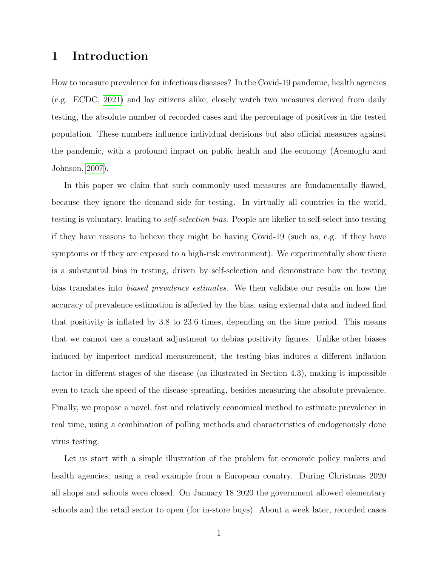## 1 Introduction

How to measure prevalence for infectious diseases? In the Covid-19 pandemic, health agencies (e.g. ECDC, [2021\)](#page-23-0) and lay citizens alike, closely watch two measures derived from daily testing, the absolute number of recorded cases and the percentage of positives in the tested population. These numbers influence individual decisions but also official measures against the pandemic, with a profound impact on public health and the economy (Acemoglu and Johnson, [2007\)](#page-23-1).

In this paper we claim that such commonly used measures are fundamentally flawed, because they ignore the demand side for testing. In virtually all countries in the world, testing is voluntary, leading to self-selection bias. People are likelier to self-select into testing if they have reasons to believe they might be having Covid-19 (such as, e.g. if they have symptoms or if they are exposed to a high-risk environment). We experimentally show there is a substantial bias in testing, driven by self-selection and demonstrate how the testing bias translates into biased prevalence estimates. We then validate our results on how the accuracy of prevalence estimation is affected by the bias, using external data and indeed find that positivity is inflated by 3.8 to 23.6 times, depending on the time period. This means that we cannot use a constant adjustment to debias positivity figures. Unlike other biases induced by imperfect medical measurement, the testing bias induces a different inflation factor in different stages of the disease (as illustrated in Section 4.3), making it impossible even to track the speed of the disease spreading, besides measuring the absolute prevalence. Finally, we propose a novel, fast and relatively economical method to estimate prevalence in real time, using a combination of polling methods and characteristics of endogenously done virus testing.

Let us start with a simple illustration of the problem for economic policy makers and health agencies, using a real example from a European country. During Christmas 2020 all shops and schools were closed. On January 18 2020 the government allowed elementary schools and the retail sector to open (for in-store buys). About a week later, recorded cases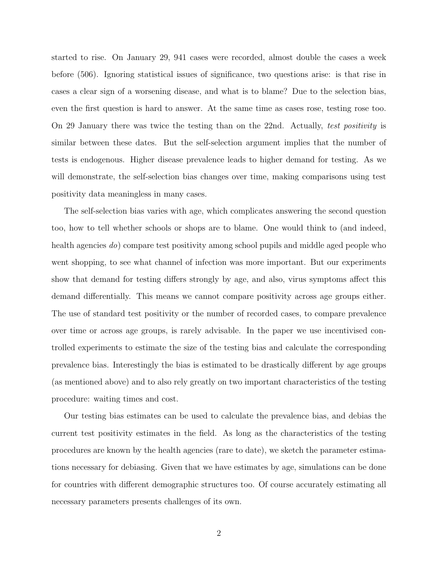started to rise. On January 29, 941 cases were recorded, almost double the cases a week before (506). Ignoring statistical issues of significance, two questions arise: is that rise in cases a clear sign of a worsening disease, and what is to blame? Due to the selection bias, even the first question is hard to answer. At the same time as cases rose, testing rose too. On 29 January there was twice the testing than on the 22nd. Actually, test positivity is similar between these dates. But the self-selection argument implies that the number of tests is endogenous. Higher disease prevalence leads to higher demand for testing. As we will demonstrate, the self-selection bias changes over time, making comparisons using test positivity data meaningless in many cases.

The self-selection bias varies with age, which complicates answering the second question too, how to tell whether schools or shops are to blame. One would think to (and indeed, health agencies do) compare test positivity among school pupils and middle aged people who went shopping, to see what channel of infection was more important. But our experiments show that demand for testing differs strongly by age, and also, virus symptoms affect this demand differentially. This means we cannot compare positivity across age groups either. The use of standard test positivity or the number of recorded cases, to compare prevalence over time or across age groups, is rarely advisable. In the paper we use incentivised controlled experiments to estimate the size of the testing bias and calculate the corresponding prevalence bias. Interestingly the bias is estimated to be drastically different by age groups (as mentioned above) and to also rely greatly on two important characteristics of the testing procedure: waiting times and cost.

Our testing bias estimates can be used to calculate the prevalence bias, and debias the current test positivity estimates in the field. As long as the characteristics of the testing procedures are known by the health agencies (rare to date), we sketch the parameter estimations necessary for debiasing. Given that we have estimates by age, simulations can be done for countries with different demographic structures too. Of course accurately estimating all necessary parameters presents challenges of its own.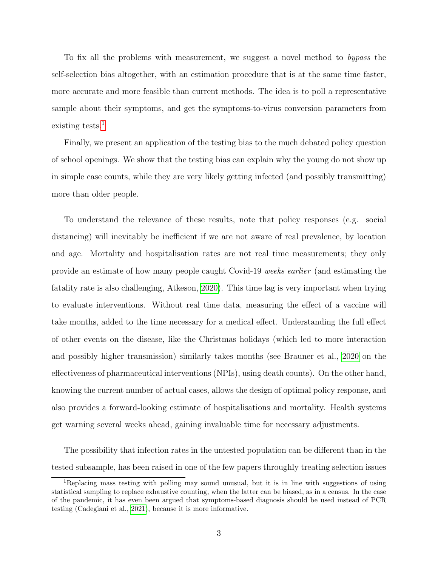To fix all the problems with measurement, we suggest a novel method to bypass the self-selection bias altogether, with an estimation procedure that is at the same time faster, more accurate and more feasible than current methods. The idea is to poll a representative sample about their symptoms, and get the symptoms-to-virus conversion parameters from existing tests. $<sup>1</sup>$  $<sup>1</sup>$  $<sup>1</sup>$ </sup>

Finally, we present an application of the testing bias to the much debated policy question of school openings. We show that the testing bias can explain why the young do not show up in simple case counts, while they are very likely getting infected (and possibly transmitting) more than older people.

To understand the relevance of these results, note that policy responses (e.g. social distancing) will inevitably be inefficient if we are not aware of real prevalence, by location and age. Mortality and hospitalisation rates are not real time measurements; they only provide an estimate of how many people caught Covid-19 weeks earlier (and estimating the fatality rate is also challenging, Atkeson, [2020\)](#page-23-2). This time lag is very important when trying to evaluate interventions. Without real time data, measuring the effect of a vaccine will take months, added to the time necessary for a medical effect. Understanding the full effect of other events on the disease, like the Christmas holidays (which led to more interaction and possibly higher transmission) similarly takes months (see Brauner et al., [2020](#page-23-3) on the effectiveness of pharmaceutical interventions (NPIs), using death counts). On the other hand, knowing the current number of actual cases, allows the design of optimal policy response, and also provides a forward-looking estimate of hospitalisations and mortality. Health systems get warning several weeks ahead, gaining invaluable time for necessary adjustments.

The possibility that infection rates in the untested population can be different than in the tested subsample, has been raised in one of the few papers throughly treating selection issues

<span id="page-3-0"></span><sup>1</sup>Replacing mass testing with polling may sound unusual, but it is in line with suggestions of using statistical sampling to replace exhaustive counting, when the latter can be biased, as in a census. In the case of the pandemic, it has even been argued that symptoms-based diagnosis should be used instead of PCR testing (Cadegiani et al., [2021\)](#page-23-4), because it is more informative.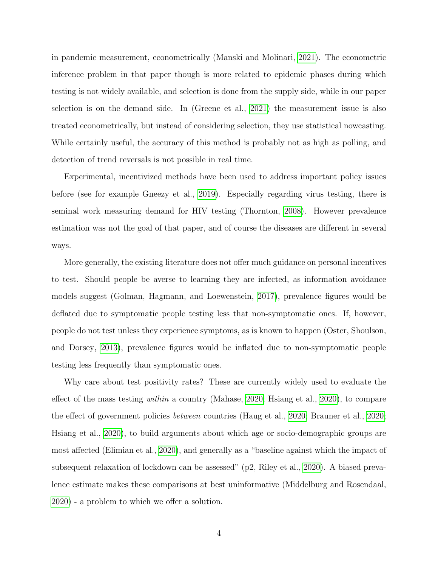in pandemic measurement, econometrically (Manski and Molinari, [2021\)](#page-24-0). The econometric inference problem in that paper though is more related to epidemic phases during which testing is not widely available, and selection is done from the supply side, while in our paper selection is on the demand side. In (Greene et al., [2021\)](#page-24-1) the measurement issue is also treated econometrically, but instead of considering selection, they use statistical nowcasting. While certainly useful, the accuracy of this method is probably not as high as polling, and detection of trend reversals is not possible in real time.

Experimental, incentivized methods have been used to address important policy issues before (see for example Gneezy et al., [2019\)](#page-23-5). Especially regarding virus testing, there is seminal work measuring demand for HIV testing (Thornton, [2008\)](#page-25-0). However prevalence estimation was not the goal of that paper, and of course the diseases are different in several ways.

More generally, the existing literature does not offer much guidance on personal incentives to test. Should people be averse to learning they are infected, as information avoidance models suggest (Golman, Hagmann, and Loewenstein, [2017\)](#page-24-2), prevalence figures would be deflated due to symptomatic people testing less that non-symptomatic ones. If, however, people do not test unless they experience symptoms, as is known to happen (Oster, Shoulson, and Dorsey, [2013\)](#page-24-3), prevalence figures would be inflated due to non-symptomatic people testing less frequently than symptomatic ones.

Why care about test positivity rates? These are currently widely used to evaluate the effect of the mass testing within a country (Mahase, [2020;](#page-24-4) Hsiang et al., [2020\)](#page-24-5), to compare the effect of government policies between countries (Haug et al., [2020;](#page-24-6) Brauner et al., [2020;](#page-23-3) Hsiang et al., [2020\)](#page-24-5), to build arguments about which age or socio-demographic groups are most affected (Elimian et al., [2020\)](#page-23-6), and generally as a "baseline against which the impact of subsequent relaxation of lockdown can be assessed" (p2, Riley et al., [2020\)](#page-25-1). A biased prevalence estimate makes these comparisons at best uninformative (Middelburg and Rosendaal, [2020\)](#page-24-7) - a problem to which we offer a solution.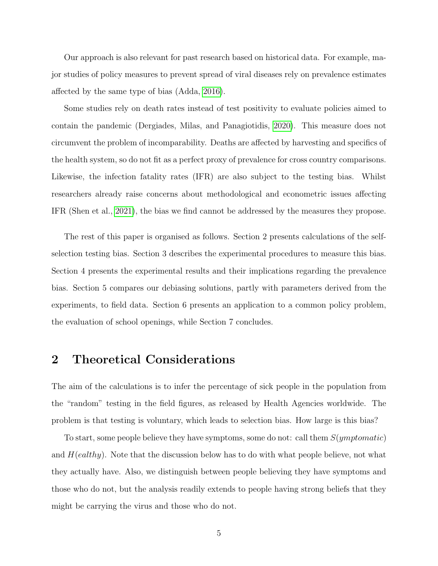Our approach is also relevant for past research based on historical data. For example, major studies of policy measures to prevent spread of viral diseases rely on prevalence estimates affected by the same type of bias (Adda, [2016\)](#page-23-7).

Some studies rely on death rates instead of test positivity to evaluate policies aimed to contain the pandemic (Dergiades, Milas, and Panagiotidis, [2020\)](#page-23-8). This measure does not circumvent the problem of incomparability. Deaths are affected by harvesting and specifics of the health system, so do not fit as a perfect proxy of prevalence for cross country comparisons. Likewise, the infection fatality rates (IFR) are also subject to the testing bias. Whilst researchers already raise concerns about methodological and econometric issues affecting IFR (Shen et al., [2021\)](#page-25-2), the bias we find cannot be addressed by the measures they propose.

The rest of this paper is organised as follows. Section 2 presents calculations of the selfselection testing bias. Section 3 describes the experimental procedures to measure this bias. Section 4 presents the experimental results and their implications regarding the prevalence bias. Section 5 compares our debiasing solutions, partly with parameters derived from the experiments, to field data. Section 6 presents an application to a common policy problem, the evaluation of school openings, while Section 7 concludes.

# 2 Theoretical Considerations

The aim of the calculations is to infer the percentage of sick people in the population from the "random" testing in the field figures, as released by Health Agencies worldwide. The problem is that testing is voluntary, which leads to selection bias. How large is this bias?

To start, some people believe they have symptoms, some do not: call them  $S(ymptomatic)$ and  $H(ealthy)$ . Note that the discussion below has to do with what people believe, not what they actually have. Also, we distinguish between people believing they have symptoms and those who do not, but the analysis readily extends to people having strong beliefs that they might be carrying the virus and those who do not.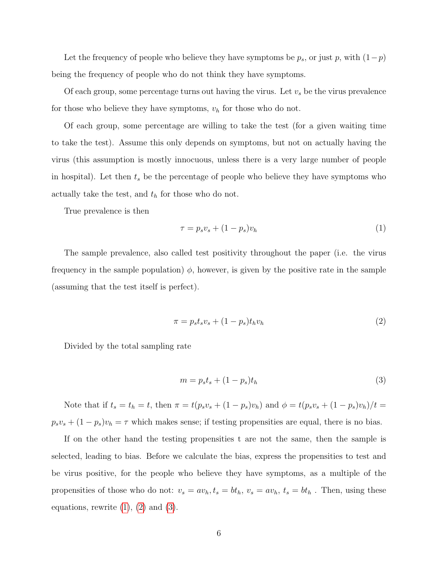Let the frequency of people who believe they have symptoms be  $p_s$ , or just p, with  $(1-p)$ being the frequency of people who do not think they have symptoms.

Of each group, some percentage turns out having the virus. Let  $v_s$  be the virus prevalence for those who believe they have symptoms,  $v_h$  for those who do not.

Of each group, some percentage are willing to take the test (for a given waiting time to take the test). Assume this only depends on symptoms, but not on actually having the virus (this assumption is mostly innocuous, unless there is a very large number of people in hospital). Let then  $t_s$  be the percentage of people who believe they have symptoms who actually take the test, and  $t<sub>h</sub>$  for those who do not.

True prevalence is then

<span id="page-6-0"></span>
$$
\tau = p_s v_s + (1 - p_s) v_h \tag{1}
$$

The sample prevalence, also called test positivity throughout the paper (i.e. the virus frequency in the sample population)  $\phi$ , however, is given by the positive rate in the sample (assuming that the test itself is perfect).

<span id="page-6-1"></span>
$$
\pi = p_s t_s v_s + (1 - p_s) t_h v_h \tag{2}
$$

Divided by the total sampling rate

<span id="page-6-2"></span>
$$
m = p_s t_s + (1 - p_s) t_h \tag{3}
$$

Note that if  $t_s = t_h = t$ , then  $\pi = t(p_s v_s + (1 - p_s)v_h)$  and  $\phi = t(p_s v_s + (1 - p_s)v_h)/t =$  $p_s v_s + (1 - p_s)v_h = \tau$  which makes sense; if testing propensities are equal, there is no bias.

If on the other hand the testing propensities t are not the same, then the sample is selected, leading to bias. Before we calculate the bias, express the propensities to test and be virus positive, for the people who believe they have symptoms, as a multiple of the propensities of those who do not:  $v_s = av_h, t_s = bt_h, v_s = av_h, t_s = bt_h$ . Then, using these equations, rewrite  $(1)$ ,  $(2)$  and  $(3)$ .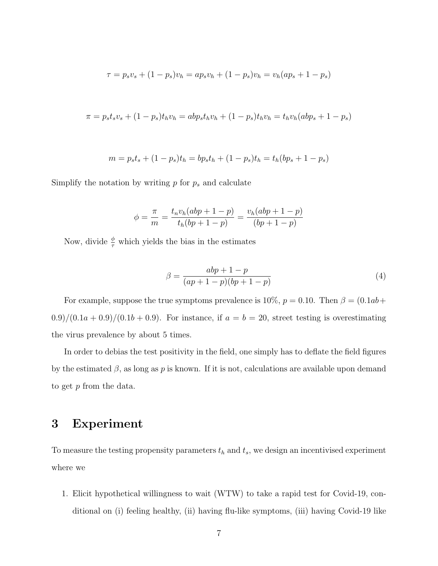$$
\tau = p_s v_s + (1 - p_s) v_h = a p_s v_h + (1 - p_s) v_h = v_h (a p_s + 1 - p_s)
$$

$$
\pi = p_s t_s v_s + (1 - p_s) t_h v_h = ab p_s t_h v_h + (1 - p_s) t_h v_h = t_h v_h (ab p_s + 1 - p_s)
$$

$$
m = p_s t_s + (1 - p_s)t_h = bp_s t_h + (1 - p_s)t_h = t_h (bp_s + 1 - p_s)
$$

Simplify the notation by writing  $p$  for  $p_s$  and calculate

$$
\phi = \frac{\pi}{m} = \frac{t_n v_h (abp + 1 - p)}{t_h (bp + 1 - p)} = \frac{v_h (abp + 1 - p)}{(bp + 1 - p)}
$$

Now, divide  $\frac{\phi}{\tau}$  which yields the bias in the estimates

$$
\beta = \frac{abp + 1 - p}{(ap + 1 - p)(bp + 1 - p)}
$$
(4)

For example, suppose the true symptoms prevalence is 10%,  $p = 0.10$ . Then  $\beta = (0.1ab +$  $0.9)/(0.1a+0.9)/(0.1b+0.9)$ . For instance, if  $a = b = 20$ , street testing is overestimating the virus prevalence by about 5 times.

In order to debias the test positivity in the field, one simply has to deflate the field figures by the estimated  $\beta$ , as long as p is known. If it is not, calculations are available upon demand to get p from the data.

### 3 Experiment

To measure the testing propensity parameters  $t<sub>h</sub>$  and  $t<sub>s</sub>$ , we design an incentivised experiment where we

1. Elicit hypothetical willingness to wait (WTW) to take a rapid test for Covid-19, conditional on (i) feeling healthy, (ii) having flu-like symptoms, (iii) having Covid-19 like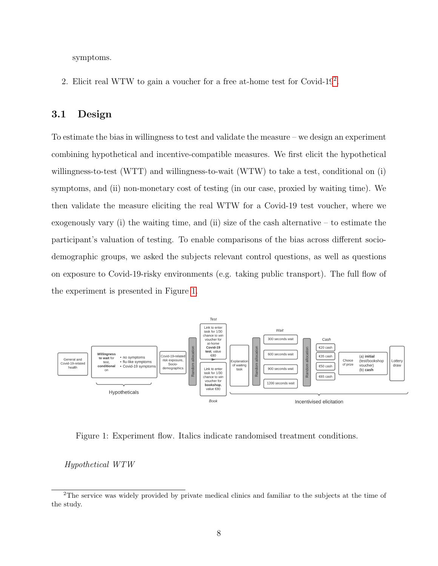symptoms.

[2](#page-8-0). Elicit real WTW to gain a voucher for a free at-home test for Covid-19<sup>2</sup>.

#### 3.1 Design

To estimate the bias in willingness to test and validate the measure – we design an experiment combining hypothetical and incentive-compatible measures. We first elicit the hypothetical willingness-to-test (WTT) and willingness-to-wait (WTW) to take a test, conditional on (i) symptoms, and (ii) non-monetary cost of testing (in our case, proxied by waiting time). We then validate the measure eliciting the real WTW for a Covid-19 test voucher, where we exogenously vary (i) the waiting time, and (ii) size of the cash alternative – to estimate the participant's valuation of testing. To enable comparisons of the bias across different sociodemographic groups, we asked the subjects relevant control questions, as well as questions on exposure to Covid-19-risky environments (e.g. taking public transport). The full flow of the experiment is presented in Figure [1.](#page-8-1)

<span id="page-8-1"></span>

Figure 1: Experiment flow. Italics indicate randomised treatment conditions.

Hypothetical WTW

<span id="page-8-0"></span><sup>2</sup>The service was widely provided by private medical clinics and familiar to the subjects at the time of the study.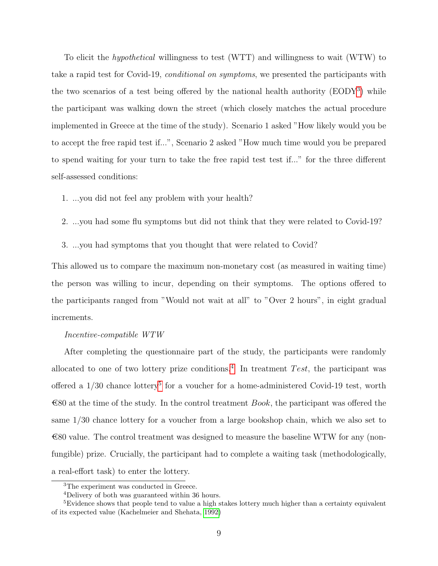To elicit the hypothetical willingness to test (WTT) and willingness to wait (WTW) to take a rapid test for Covid-19, conditional on symptoms, we presented the participants with the two scenarios of a test being offered by the national health authority (EODY[3](#page-9-0) ) while the participant was walking down the street (which closely matches the actual procedure implemented in Greece at the time of the study). Scenario 1 asked "How likely would you be to accept the free rapid test if...", Scenario 2 asked "How much time would you be prepared to spend waiting for your turn to take the free rapid test test if..." for the three different self-assessed conditions:

- 1. ...you did not feel any problem with your health?
- 2. ...you had some flu symptoms but did not think that they were related to Covid-19?
- 3. ...you had symptoms that you thought that were related to Covid?

This allowed us to compare the maximum non-monetary cost (as measured in waiting time) the person was willing to incur, depending on their symptoms. The options offered to the participants ranged from "Would not wait at all" to "Over 2 hours", in eight gradual increments.

#### Incentive-compatible WTW

After completing the questionnaire part of the study, the participants were randomly allocated to one of two lottery prize conditions.<sup>[4](#page-9-1)</sup> In treatment Test, the participant was offered a  $1/30$  chance lottery<sup>[5](#page-9-2)</sup> for a voucher for a home-administered Covid-19 test, worth  $\epsilon$ 80 at the time of the study. In the control treatment *Book*, the participant was offered the same 1/30 chance lottery for a voucher from a large bookshop chain, which we also set to  $\text{\textsterling}80$  value. The control treatment was designed to measure the baseline WTW for any (nonfungible) prize. Crucially, the participant had to complete a waiting task (methodologically, a real-effort task) to enter the lottery.

<span id="page-9-0"></span><sup>3</sup>The experiment was conducted in Greece.

<span id="page-9-2"></span><span id="page-9-1"></span><sup>4</sup>Delivery of both was guaranteed within 36 hours.

<sup>&</sup>lt;sup>5</sup>Evidence shows that people tend to value a high stakes lottery much higher than a certainty equivalent of its expected value (Kachelmeier and Shehata, [1992\)](#page-24-8)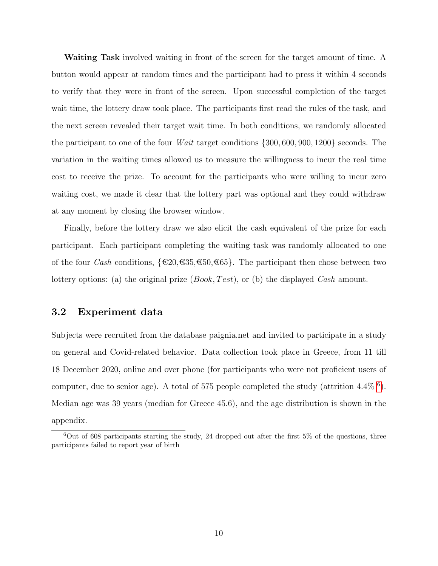Waiting Task involved waiting in front of the screen for the target amount of time. A button would appear at random times and the participant had to press it within 4 seconds to verify that they were in front of the screen. Upon successful completion of the target wait time, the lottery draw took place. The participants first read the rules of the task, and the next screen revealed their target wait time. In both conditions, we randomly allocated the participant to one of the four *Wait* target conditions  $\{300, 600, 900, 1200\}$  seconds. The variation in the waiting times allowed us to measure the willingness to incur the real time cost to receive the prize. To account for the participants who were willing to incur zero waiting cost, we made it clear that the lottery part was optional and they could withdraw at any moment by closing the browser window.

Finally, before the lottery draw we also elicit the cash equivalent of the prize for each participant. Each participant completing the waiting task was randomly allocated to one of the four *Cash* conditions,  $\{\text{\textsterling}20,\text{\textsterling}35,\text{\textsterling}50,\text{\textsterling}65\}$ . The participant then chose between two lottery options: (a) the original prize  $(Book, Test)$ , or (b) the displayed Cash amount.

#### 3.2 Experiment data

Subjects were recruited from the database paignia.net and invited to participate in a study on general and Covid-related behavior. Data collection took place in Greece, from 11 till 18 December 2020, online and over phone (for participants who were not proficient users of computer, due to senior age). A total of 575 people completed the study (attrition 4.4%  $^6$  $^6$ ). Median age was 39 years (median for Greece 45.6), and the age distribution is shown in the appendix.

<span id="page-10-0"></span> $60ut$  of 608 participants starting the study, 24 dropped out after the first 5% of the questions, three participants failed to report year of birth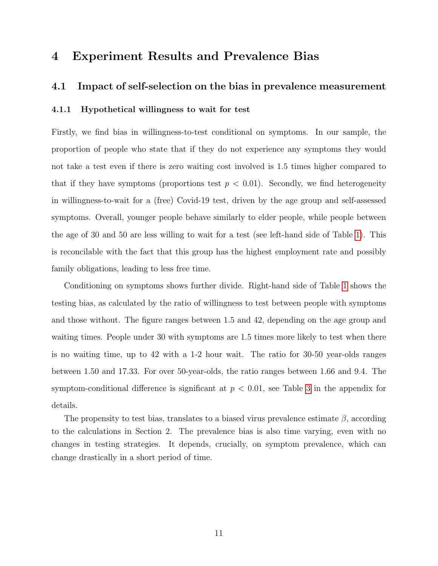## 4 Experiment Results and Prevalence Bias

#### 4.1 Impact of self-selection on the bias in prevalence measurement

#### 4.1.1 Hypothetical willingness to wait for test

Firstly, we find bias in willingness-to-test conditional on symptoms. In our sample, the proportion of people who state that if they do not experience any symptoms they would not take a test even if there is zero waiting cost involved is 1.5 times higher compared to that if they have symptoms (proportions test  $p < 0.01$ ). Secondly, we find heterogeneity in willingness-to-wait for a (free) Covid-19 test, driven by the age group and self-assessed symptoms. Overall, younger people behave similarly to elder people, while people between the age of 30 and 50 are less willing to wait for a test (see left-hand side of Table [1\)](#page-12-0). This is reconcilable with the fact that this group has the highest employment rate and possibly family obligations, leading to less free time.

Conditioning on symptoms shows further divide. Right-hand side of Table [1](#page-12-0) shows the testing bias, as calculated by the ratio of willingness to test between people with symptoms and those without. The figure ranges between 1.5 and 42, depending on the age group and waiting times. People under 30 with symptoms are 1.5 times more likely to test when there is no waiting time, up to 42 with a 1-2 hour wait. The ratio for 30-50 year-olds ranges between 1.50 and 17.33. For over 50-year-olds, the ratio ranges between 1.66 and 9.4. The symptom-conditional difference is significant at  $p < 0.01$ , see Table [3](#page-27-0) in the appendix for details.

The propensity to test bias, translates to a biased virus prevalence estimate  $\beta$ , according to the calculations in Section 2. The prevalence bias is also time varying, even with no changes in testing strategies. It depends, crucially, on symptom prevalence, which can change drastically in a short period of time.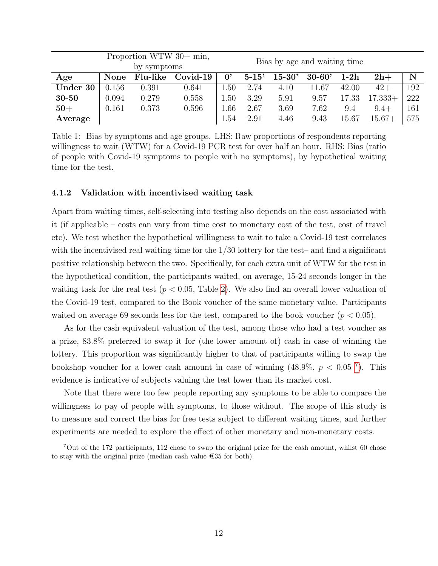<span id="page-12-0"></span>

|          | Proportion WTW $30+$ min, |          |            |      |                              |            |            |        |           |     |
|----------|---------------------------|----------|------------|------|------------------------------|------------|------------|--------|-----------|-----|
|          | by symptoms               |          |            |      | Bias by age and waiting time |            |            |        |           |     |
| Age      | None                      | Flu-like | $Covid-19$ | 0,   | $5 - 15'$                    | $15 - 30'$ | $30 - 60'$ | $1-2h$ | $2h+$     | N   |
| Under 30 | 0.156                     | 0.391    | 0.641      | 1.50 | 2.74                         | 4.10       | 11.67      | 42.00  | $42+$     | 192 |
| 30-50    | 0.094                     | 0.279    | 0.558      | 1.50 | 3.29                         | 5.91       | 9.57       | 17.33  | $17.333+$ | 222 |
| $50+$    | 0.161                     | 0.373    | 0.596      | 1.66 | 2.67                         | 3.69       | 7.62       | 9.4    | $9.4+$    | 161 |
| Average  |                           |          |            | 1.54 | 2.91                         | 4.46       | 9.43       | 15.67  | $15.67+$  | 575 |

Table 1: Bias by symptoms and age groups. LHS: Raw proportions of respondents reporting willingness to wait (WTW) for a Covid-19 PCR test for over half an hour. RHS: Bias (ratio of people with Covid-19 symptoms to people with no symptoms), by hypothetical waiting time for the test.

#### 4.1.2 Validation with incentivised waiting task

Apart from waiting times, self-selecting into testing also depends on the cost associated with it (if applicable – costs can vary from time cost to monetary cost of the test, cost of travel etc). We test whether the hypothetical willingness to wait to take a Covid-19 test correlates with the incentivised real waiting time for the 1/30 lottery for the test– and find a significant positive relationship between the two. Specifically, for each extra unit of WTW for the test in the hypothetical condition, the participants waited, on average, 15-24 seconds longer in the waiting task for the real test ( $p < 0.05$ , Table [2\)](#page-13-0). We also find an overall lower valuation of the Covid-19 test, compared to the Book voucher of the same monetary value. Participants waited on average 69 seconds less for the test, compared to the book voucher ( $p < 0.05$ ).

As for the cash equivalent valuation of the test, among those who had a test voucher as a prize, 83.8% preferred to swap it for (the lower amount of) cash in case of winning the lottery. This proportion was significantly higher to that of participants willing to swap the bookshop voucher for a lower cash amount in case of winning  $(48.9\%, p < 0.05^7)$  $(48.9\%, p < 0.05^7)$  $(48.9\%, p < 0.05^7)$ . This evidence is indicative of subjects valuing the test lower than its market cost.

Note that there were too few people reporting any symptoms to be able to compare the willingness to pay of people with symptoms, to those without. The scope of this study is to measure and correct the bias for free tests subject to different waiting times, and further experiments are needed to explore the effect of other monetary and non-monetary costs.

<span id="page-12-1"></span><sup>7</sup>Out of the 172 participants, 112 chose to swap the original prize for the cash amount, whilst 60 chose to stay with the original prize (median cash value  $\epsilon$ 35 for both).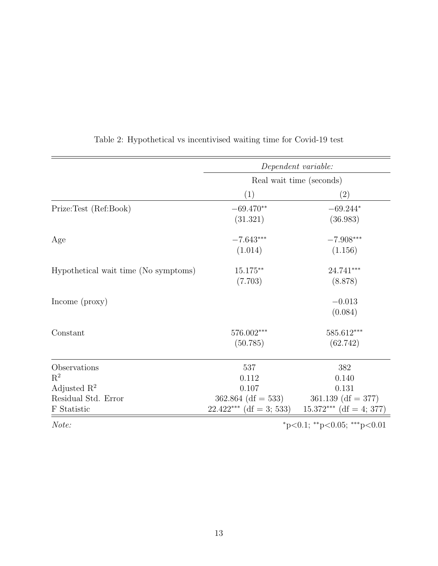<span id="page-13-0"></span>

|                                                                                                              | Dependent variable:<br>Real wait time (seconds) |                                                                                                    |  |  |
|--------------------------------------------------------------------------------------------------------------|-------------------------------------------------|----------------------------------------------------------------------------------------------------|--|--|
|                                                                                                              |                                                 |                                                                                                    |  |  |
|                                                                                                              | (1)                                             | (2)                                                                                                |  |  |
| Prize:Test (Ref:Book)                                                                                        | $-69.470**$<br>(31.321)                         | $-69.244*$<br>(36.983)                                                                             |  |  |
| Age                                                                                                          | $-7.643***$<br>(1.014)                          | $-7.908***$<br>(1.156)                                                                             |  |  |
| Hypothetical wait time (No symptoms)                                                                         | $15.175***$<br>(7.703)                          | 24.741***<br>(8.878)                                                                               |  |  |
| Income (proxy)                                                                                               |                                                 | $-0.013$<br>(0.084)                                                                                |  |  |
| Constant                                                                                                     | 576.002***<br>(50.785)                          | 585.612***<br>(62.742)                                                                             |  |  |
| Observations<br>$\mathbf{R}^2$<br>Adjusted $\mathbb{R}^2$<br>Residual Std. Error<br>${\mathcal F}$ Statistic | 537<br>0.112<br>0.107<br>$362.864$ (df = 533)   | 382<br>0.140<br>0.131<br>$361.139$ (df = 377)<br>$22.422***$ (df = 3; 533) 15.372*** (df = 4; 377) |  |  |
| Note:                                                                                                        |                                                 | *p<0.1; **p<0.05; ***p<0.01                                                                        |  |  |

Table 2: Hypothetical vs incentivised waiting time for Covid-19 test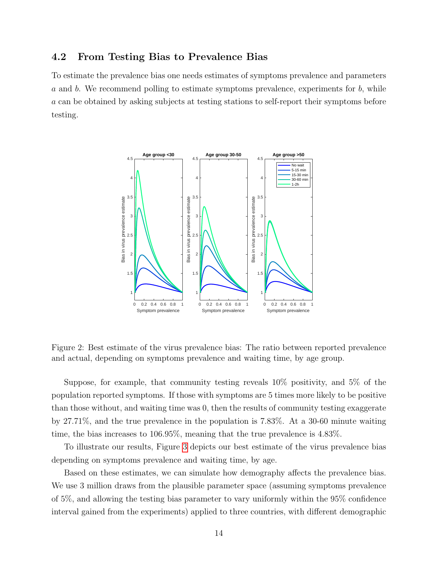#### 4.2 From Testing Bias to Prevalence Bias

To estimate the prevalence bias one needs estimates of symptoms prevalence and parameters  $a$  and  $b$ . We recommend polling to estimate symptoms prevalence, experiments for  $b$ , while a can be obtained by asking subjects at testing stations to self-report their symptoms before testing.



Figure 2: Best estimate of the virus prevalence bias: The ratio between reported prevalence and actual, depending on symptoms prevalence and waiting time, by age group.

Suppose, for example, that community testing reveals 10% positivity, and 5% of the population reported symptoms. If those with symptoms are 5 times more likely to be positive than those without, and waiting time was 0, then the results of community testing exaggerate by 27.71%, and the true prevalence in the population is 7.83%. At a 30-60 minute waiting time, the bias increases to 106.95%, meaning that the true prevalence is 4.83%.

To illustrate our results, Figure [3](#page-15-0) depicts our best estimate of the virus prevalence bias depending on symptoms prevalence and waiting time, by age.

Based on these estimates, we can simulate how demography affects the prevalence bias. We use 3 million draws from the plausible parameter space (assuming symptoms prevalence of 5%, and allowing the testing bias parameter to vary uniformly within the 95% confidence interval gained from the experiments) applied to three countries, with different demographic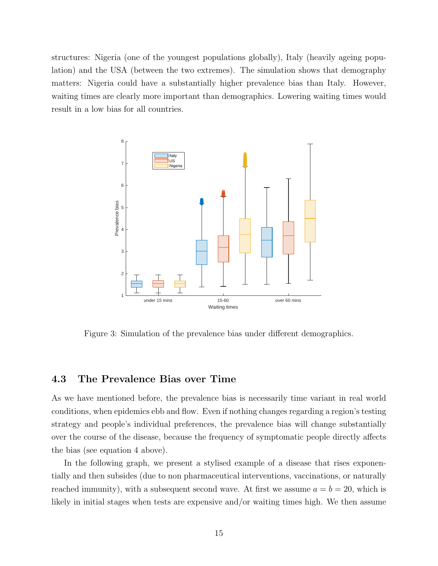structures: Nigeria (one of the youngest populations globally), Italy (heavily ageing population) and the USA (between the two extremes). The simulation shows that demography matters: Nigeria could have a substantially higher prevalence bias than Italy. However, waiting times are clearly more important than demographics. Lowering waiting times would result in a low bias for all countries.

<span id="page-15-0"></span>

Figure 3: Simulation of the prevalence bias under different demographics.

#### 4.3 The Prevalence Bias over Time

As we have mentioned before, the prevalence bias is necessarily time variant in real world conditions, when epidemics ebb and flow. Even if nothing changes regarding a region's testing strategy and people's individual preferences, the prevalence bias will change substantially over the course of the disease, because the frequency of symptomatic people directly affects the bias (see equation 4 above).

In the following graph, we present a stylised example of a disease that rises exponentially and then subsides (due to non pharmaceutical interventions, vaccinations, or naturally reached immunity), with a subsequent second wave. At first we assume  $a = b = 20$ , which is likely in initial stages when tests are expensive and/or waiting times high. We then assume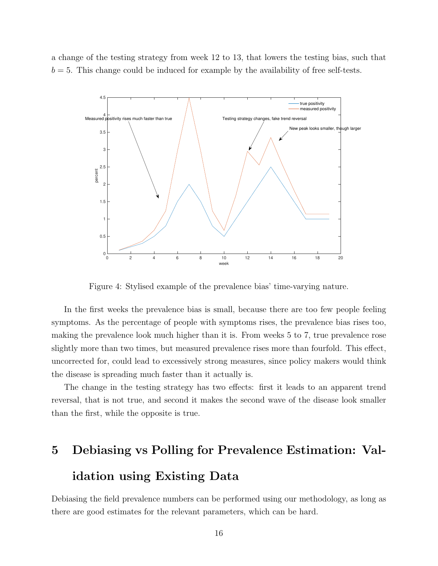a change of the testing strategy from week 12 to 13, that lowers the testing bias, such that  $b = 5$ . This change could be induced for example by the availability of free self-tests.



Figure 4: Stylised example of the prevalence bias' time-varying nature.

In the first weeks the prevalence bias is small, because there are too few people feeling symptoms. As the percentage of people with symptoms rises, the prevalence bias rises too, making the prevalence look much higher than it is. From weeks 5 to 7, true prevalence rose slightly more than two times, but measured prevalence rises more than fourfold. This effect, uncorrected for, could lead to excessively strong measures, since policy makers would think the disease is spreading much faster than it actually is.

The change in the testing strategy has two effects: first it leads to an apparent trend reversal, that is not true, and second it makes the second wave of the disease look smaller than the first, while the opposite is true.

# 5 Debiasing vs Polling for Prevalence Estimation: Validation using Existing Data

Debiasing the field prevalence numbers can be performed using our methodology, as long as there are good estimates for the relevant parameters, which can be hard.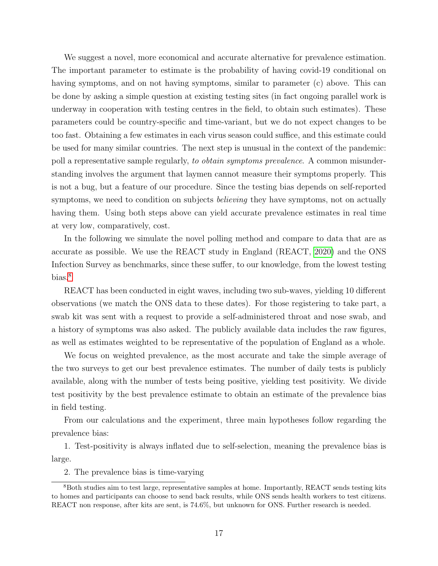We suggest a novel, more economical and accurate alternative for prevalence estimation. The important parameter to estimate is the probability of having covid-19 conditional on having symptoms, and on not having symptoms, similar to parameter (c) above. This can be done by asking a simple question at existing testing sites (in fact ongoing parallel work is underway in cooperation with testing centres in the field, to obtain such estimates). These parameters could be country-specific and time-variant, but we do not expect changes to be too fast. Obtaining a few estimates in each virus season could suffice, and this estimate could be used for many similar countries. The next step is unusual in the context of the pandemic: poll a representative sample regularly, to obtain symptoms prevalence. A common misunderstanding involves the argument that laymen cannot measure their symptoms properly. This is not a bug, but a feature of our procedure. Since the testing bias depends on self-reported symptoms, we need to condition on subjects *believing* they have symptoms, not on actually having them. Using both steps above can yield accurate prevalence estimates in real time at very low, comparatively, cost.

In the following we simulate the novel polling method and compare to data that are as accurate as possible. We use the REACT study in England (REACT, [2020\)](#page-24-9) and the ONS Infection Survey as benchmarks, since these suffer, to our knowledge, from the lowest testing bias.<sup>[8](#page-17-0)</sup>

REACT has been conducted in eight waves, including two sub-waves, yielding 10 different observations (we match the ONS data to these dates). For those registering to take part, a swab kit was sent with a request to provide a self-administered throat and nose swab, and a history of symptoms was also asked. The publicly available data includes the raw figures, as well as estimates weighted to be representative of the population of England as a whole.

We focus on weighted prevalence, as the most accurate and take the simple average of the two surveys to get our best prevalence estimates. The number of daily tests is publicly available, along with the number of tests being positive, yielding test positivity. We divide test positivity by the best prevalence estimate to obtain an estimate of the prevalence bias in field testing.

From our calculations and the experiment, three main hypotheses follow regarding the prevalence bias:

1. Test-positivity is always inflated due to self-selection, meaning the prevalence bias is large.

<span id="page-17-0"></span>2. The prevalence bias is time-varying

<sup>8</sup>Both studies aim to test large, representative samples at home. Importantly, REACT sends testing kits to homes and participants can choose to send back results, while ONS sends health workers to test citizens. REACT non response, after kits are sent, is 74.6%, but unknown for ONS. Further research is needed.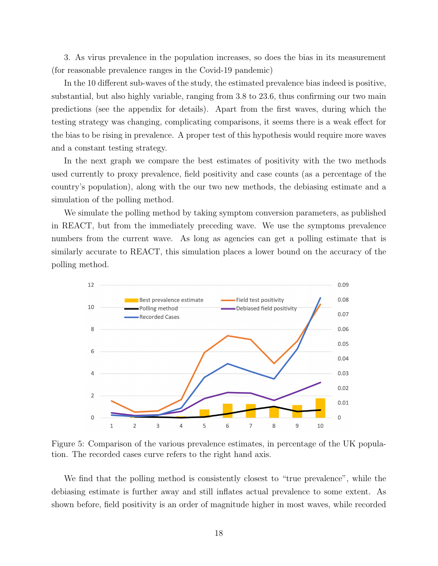3. As virus prevalence in the population increases, so does the bias in its measurement (for reasonable prevalence ranges in the Covid-19 pandemic)

In the 10 different sub-waves of the study, the estimated prevalence bias indeed is positive, substantial, but also highly variable, ranging from 3.8 to 23.6, thus confirming our two main predictions (see the appendix for details). Apart from the first waves, during which the testing strategy was changing, complicating comparisons, it seems there is a weak effect for the bias to be rising in prevalence. A proper test of this hypothesis would require more waves and a constant testing strategy.

In the next graph we compare the best estimates of positivity with the two methods used currently to proxy prevalence, field positivity and case counts (as a percentage of the country's population), along with the our two new methods, the debiasing estimate and a simulation of the polling method.

We simulate the polling method by taking symptom conversion parameters, as published in REACT, but from the immediately preceding wave. We use the symptoms prevalence numbers from the current wave. As long as agencies can get a polling estimate that is similarly accurate to REACT, this simulation places a lower bound on the accuracy of the polling method.



Figure 5: Comparison of the various prevalence estimates, in percentage of the UK population. The recorded cases curve refers to the right hand axis.

We find that the polling method is consistently closest to "true prevalence", while the debiasing estimate is further away and still inflates actual prevalence to some extent. As shown before, field positivity is an order of magnitude higher in most waves, while recorded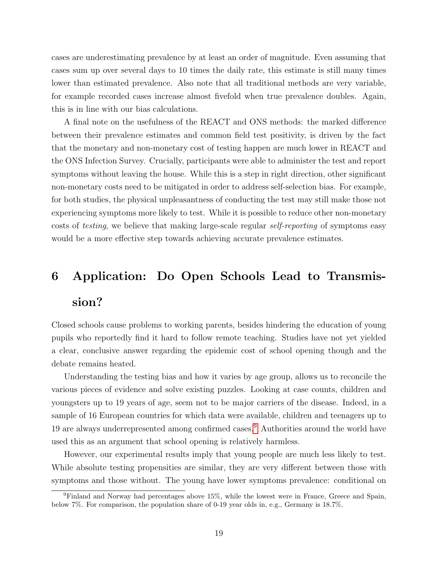cases are underestimating prevalence by at least an order of magnitude. Even assuming that cases sum up over several days to 10 times the daily rate, this estimate is still many times lower than estimated prevalence. Also note that all traditional methods are very variable, for example recorded cases increase almost fivefold when true prevalence doubles. Again, this is in line with our bias calculations.

A final note on the usefulness of the REACT and ONS methods: the marked difference between their prevalence estimates and common field test positivity, is driven by the fact that the monetary and non-monetary cost of testing happen are much lower in REACT and the ONS Infection Survey. Crucially, participants were able to administer the test and report symptoms without leaving the house. While this is a step in right direction, other significant non-monetary costs need to be mitigated in order to address self-selection bias. For example, for both studies, the physical unpleasantness of conducting the test may still make those not experiencing symptoms more likely to test. While it is possible to reduce other non-monetary costs of testing, we believe that making large-scale regular self-reporting of symptoms easy would be a more effective step towards achieving accurate prevalence estimates.

# 6 Application: Do Open Schools Lead to Transmis-

# sion?

Closed schools cause problems to working parents, besides hindering the education of young pupils who reportedly find it hard to follow remote teaching. Studies have not yet yielded a clear, conclusive answer regarding the epidemic cost of school opening though and the debate remains heated.

Understanding the testing bias and how it varies by age group, allows us to reconcile the various pieces of evidence and solve existing puzzles. Looking at case counts, children and youngsters up to 19 years of age, seem not to be major carriers of the disease. Indeed, in a sample of 16 European countries for which data were available, children and teenagers up to 19 are always underrepresented among confirmed cases.[9](#page-19-0) Authorities around the world have used this as an argument that school opening is relatively harmless.

However, our experimental results imply that young people are much less likely to test. While absolute testing propensities are similar, they are very different between those with symptoms and those without. The young have lower symptoms prevalence: conditional on

<span id="page-19-0"></span><sup>9</sup>Finland and Norway had percentages above 15%, while the lowest were in France, Greece and Spain, below 7%. For comparison, the population share of 0-19 year olds in, e.g., Germany is 18.7%.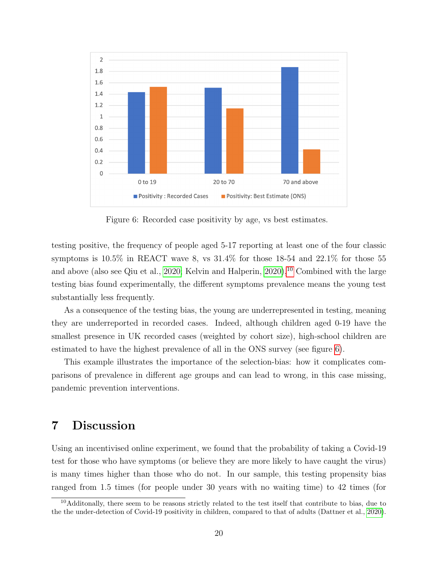<span id="page-20-1"></span>

Figure 6: Recorded case positivity by age, vs best estimates.

testing positive, the frequency of people aged 5-17 reporting at least one of the four classic symptoms is 10.5% in REACT wave 8, vs 31.4% for those 18-54 and 22.1% for those 55 and above (also see Qiu et al., [2020;](#page-24-10) Kelvin and Halperin,  $2020$ ), <sup>[10](#page-20-0)</sup> Combined with the large testing bias found experimentally, the different symptoms prevalence means the young test substantially less frequently.

As a consequence of the testing bias, the young are underrepresented in testing, meaning they are underreported in recorded cases. Indeed, although children aged 0-19 have the smallest presence in UK recorded cases (weighted by cohort size), high-school children are estimated to have the highest prevalence of all in the ONS survey (see figure [6\)](#page-20-1).

This example illustrates the importance of the selection-bias: how it complicates comparisons of prevalence in different age groups and can lead to wrong, in this case missing, pandemic prevention interventions.

# 7 Discussion

Using an incentivised online experiment, we found that the probability of taking a Covid-19 test for those who have symptoms (or believe they are more likely to have caught the virus) is many times higher than those who do not. In our sample, this testing propensity bias ranged from 1.5 times (for people under 30 years with no waiting time) to 42 times (for

<span id="page-20-0"></span> $10$ Additonally, there seem to be reasons strictly related to the test itself that contribute to bias, due to the the under-detection of Covid-19 positivity in children, compared to that of adults (Dattner et al., [2020\)](#page-23-9).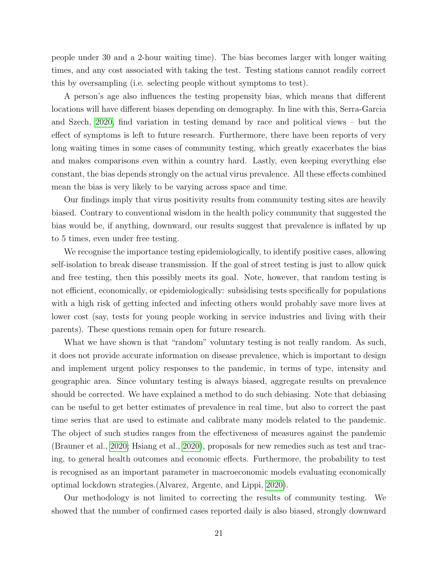people under 30 and a 2-hour waiting time). The bias becomes larger with longer waiting times, and any cost associated with taking the test. Testing stations cannot readily correct this by oversampling (i.e. selecting people without symptoms to test).

A person's age also influences the testing propensity bias, which means that different locations will have different biases depending on demography. In line with this, Serra-Garcia and Szech, [2020,](#page-25-3) find variation in testing demand by race and political views – but the effect of symptoms is left to future research. Furthermore, there have been reports of very long waiting times in some cases of community testing, which greatly exacerbates the bias and makes comparisons even within a country hard. Lastly, even keeping everything else constant, the bias depends strongly on the actual virus prevalence. All these effects combined mean the bias is very likely to be varying across space and time.

Our findings imply that virus positivity results from community testing sites are heavily biased. Contrary to conventional wisdom in the health policy community that suggested the bias would be, if anything, downward, our results suggest that prevalence is inflated by up to 5 times, even under free testing.

We recognise the importance testing epidemiologically, to identify positive cases, allowing self-isolation to break disease transmission. If the goal of street testing is just to allow quick and free testing, then this possibly meets its goal. Note, however, that random testing is not efficient, economically, or epidemiologically: subsidising tests specifically for populations with a high risk of getting infected and infecting others would probably save more lives at lower cost (say, tests for young people working in service industries and living with their parents). These questions remain open for future research.

What we have shown is that "random" voluntary testing is not really random. As such, it does not provide accurate information on disease prevalence, which is important to design and implement urgent policy responses to the pandemic, in terms of type, intensity and geographic area. Since voluntary testing is always biased, aggregate results on prevalence should be corrected. We have explained a method to do such debiasing. Note that debiasing can be useful to get better estimates of prevalence in real time, but also to correct the past time series that are used to estimate and calibrate many models related to the pandemic. The object of such studies ranges from the effectiveness of measures against the pandemic (Brauner et al., [2020;](#page-23-3) Hsiang et al., [2020\)](#page-24-5), proposals for new remedies such as test and tracing, to general health outcomes and economic effects. Furthermore, the probability to test is recognised as an important parameter in macroeconomic models evaluating economically optimal lockdown strategies.(Alvarez, Argente, and Lippi, [2020\)](#page-23-10).

Our methodology is not limited to correcting the results of community testing. We showed that the number of confirmed cases reported daily is also biased, strongly downward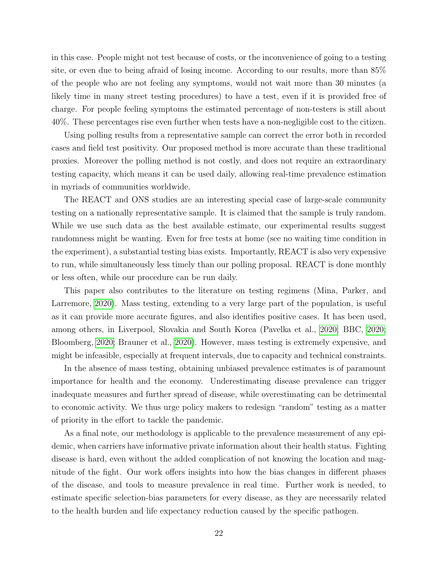in this case. People might not test because of costs, or the inconvenience of going to a testing site, or even due to being afraid of losing income. According to our results, more than 85% of the people who are not feeling any symptoms, would not wait more than 30 minutes (a likely time in many street testing procedures) to have a test, even if it is provided free of charge. For people feeling symptoms the estimated percentage of non-testers is still about 40%. These percentages rise even further when tests have a non-negligible cost to the citizen.

Using polling results from a representative sample can correct the error both in recorded cases and field test positivity. Our proposed method is more accurate than these traditional proxies. Moreover the polling method is not costly, and does not require an extraordinary testing capacity, which means it can be used daily, allowing real-time prevalence estimation in myriads of communities worldwide.

The REACT and ONS studies are an interesting special case of large-scale community testing on a nationally representative sample. It is claimed that the sample is truly random. While we use such data as the best available estimate, our experimental results suggest randomness might be wanting. Even for free tests at home (see no waiting time condition in the experiment), a substantial testing bias exists. Importantly, REACT is also very expensive to run, while simultaneously less timely than our polling proposal. REACT is done monthly or less often, while our procedure can be run daily.

This paper also contributes to the literature on testing regimens (Mina, Parker, and Larremore, [2020\)](#page-24-12). Mass testing, extending to a very large part of the population, is useful as it can provide more accurate figures, and also identifies positive cases. It has been used, among others, in Liverpool, Slovakia and South Korea (Pavelka et al., [2020;](#page-24-13) BBC, [2020;](#page-23-11) Bloomberg, [2020;](#page-23-12) Brauner et al., [2020\)](#page-23-3). However, mass testing is extremely expensive, and might be infeasible, especially at frequent intervals, due to capacity and technical constraints.

In the absence of mass testing, obtaining unbiased prevalence estimates is of paramount importance for health and the economy. Underestimating disease prevalence can trigger inadequate measures and further spread of disease, while overestimating can be detrimental to economic activity. We thus urge policy makers to redesign "random" testing as a matter of priority in the effort to tackle the pandemic.

As a final note, our methodology is applicable to the prevalence measurement of any epidemic, when carriers have informative private information about their health status. Fighting disease is hard, even without the added complication of not knowing the location and magnitude of the fight. Our work offers insights into how the bias changes in different phases of the disease, and tools to measure prevalence in real time. Further work is needed, to estimate specific selection-bias parameters for every disease, as they are necessarily related to the health burden and life expectancy reduction caused by the specific pathogen.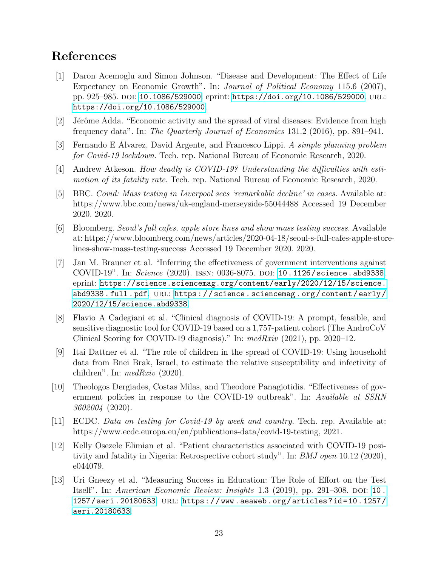# References

- <span id="page-23-1"></span>[1] Daron Acemoglu and Simon Johnson. "Disease and Development: The Effect of Life Expectancy on Economic Growth". In: Journal of Political Economy 115.6 (2007), pp. 925–985. doi: [10.1086/529000](https://doi.org/10.1086/529000). eprint: <https://doi.org/10.1086/529000>. url: <https://doi.org/10.1086/529000>.
- <span id="page-23-7"></span> $[2]$  Jérôme Adda. "Economic activity and the spread of viral diseases: Evidence from high frequency data". In: The Quarterly Journal of Economics 131.2 (2016), pp. 891–941.
- <span id="page-23-10"></span>[3] Fernando E Alvarez, David Argente, and Francesco Lippi. A simple planning problem for Covid-19 lockdown. Tech. rep. National Bureau of Economic Research, 2020.
- <span id="page-23-2"></span>[4] Andrew Atkeson. How deadly is COVID-19? Understanding the difficulties with estimation of its fatality rate. Tech. rep. National Bureau of Economic Research, 2020.
- <span id="page-23-11"></span>[5] BBC. Covid: Mass testing in Liverpool sees 'remarkable decline' in cases. Available at: https://www.bbc.com/news/uk-england-merseyside-55044488 Accessed 19 December 2020. 2020.
- <span id="page-23-12"></span>[6] Bloomberg. Seoul's full cafes, apple store lines and show mass testing success. Available at: https://www.bloomberg.com/news/articles/2020-04-18/seoul-s-full-cafes-apple-storelines-show-mass-testing-success Accessed 19 December 2020. 2020.
- <span id="page-23-3"></span>[7] Jan M. Brauner et al. "Inferring the effectiveness of government interventions against COVID-19". In: Science (2020). ISSN: 0036-8075. DOI: [10.1126/science.abd9338](https://doi.org/10.1126/science.abd9338). eprint: [https://science.sciencemag.org/content/early/2020/12/15/science.](https://science.sciencemag.org/content/early/2020/12/15/science.abd9338.full.pdf) abd9338.full.pdf. URL: https://science.sciencemag.org/content/early/ [2020/12/15/science.abd9338](https://science.sciencemag.org/content/early/2020/12/15/science.abd9338).
- <span id="page-23-4"></span>[8] Flavio A Cadegiani et al. "Clinical diagnosis of COVID-19: A prompt, feasible, and sensitive diagnostic tool for COVID-19 based on a 1,757-patient cohort (The AndroCoV Clinical Scoring for COVID-19 diagnosis)." In:  $medRxiv$  (2021), pp. 2020–12.
- <span id="page-23-9"></span>[9] Itai Dattner et al. "The role of children in the spread of COVID-19: Using household data from Bnei Brak, Israel, to estimate the relative susceptibility and infectivity of children". In:  $medRxiv$  (2020).
- <span id="page-23-8"></span>[10] Theologos Dergiades, Costas Milas, and Theodore Panagiotidis. "Effectiveness of government policies in response to the COVID-19 outbreak". In: Available at SSRN 3602004 (2020).
- <span id="page-23-0"></span>[11] ECDC. Data on testing for Covid-19 by week and country. Tech. rep. Available at: https://www.ecdc.europa.eu/en/publications-data/covid-19-testing, 2021.
- <span id="page-23-6"></span>[12] Kelly Osezele Elimian et al. "Patient characteristics associated with COVID-19 positivity and fatality in Nigeria: Retrospective cohort study". In: BMJ open 10.12 (2020), e044079.
- <span id="page-23-5"></span>[13] Uri Gneezy et al. "Measuring Success in Education: The Role of Effort on the Test Itself". In: American Economic Review: Insights  $1.3$  (2019), pp. 291–308. DOI: 10. [1257/aeri.20180633](https://doi.org/10.1257/aeri.20180633). url: [https://www.aeaweb.org/articles?id=10.1257/](https://www.aeaweb.org/articles?id=10.1257/aeri.20180633) [aeri.20180633](https://www.aeaweb.org/articles?id=10.1257/aeri.20180633).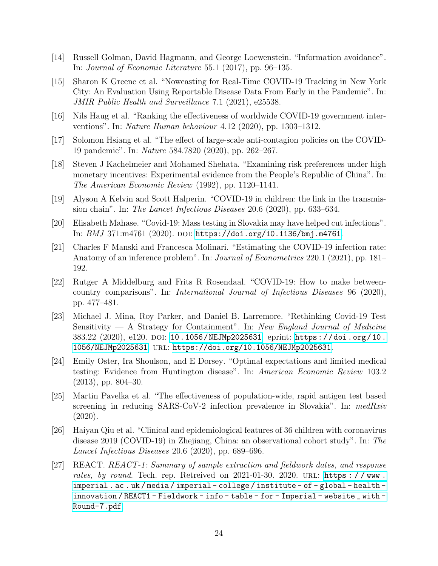- <span id="page-24-2"></span>[14] Russell Golman, David Hagmann, and George Loewenstein. "Information avoidance". In: Journal of Economic Literature 55.1 (2017), pp. 96–135.
- <span id="page-24-1"></span>[15] Sharon K Greene et al. "Nowcasting for Real-Time COVID-19 Tracking in New York City: An Evaluation Using Reportable Disease Data From Early in the Pandemic". In: JMIR Public Health and Surveillance 7.1 (2021), e25538.
- <span id="page-24-6"></span>[16] Nils Haug et al. "Ranking the effectiveness of worldwide COVID-19 government interventions". In: Nature Human behaviour 4.12 (2020), pp. 1303–1312.
- <span id="page-24-5"></span>[17] Solomon Hsiang et al. "The effect of large-scale anti-contagion policies on the COVID-19 pandemic". In: Nature 584.7820 (2020), pp. 262–267.
- <span id="page-24-8"></span>[18] Steven J Kachelmeier and Mohamed Shehata. "Examining risk preferences under high monetary incentives: Experimental evidence from the People's Republic of China". In: The American Economic Review (1992), pp. 1120–1141.
- <span id="page-24-11"></span>[19] Alyson A Kelvin and Scott Halperin. "COVID-19 in children: the link in the transmission chain". In: The Lancet Infectious Diseases 20.6 (2020), pp. 633–634.
- <span id="page-24-4"></span>[20] Elisabeth Mahase. "Covid-19: Mass testing in Slovakia may have helped cut infections". In:  $BMJ$  371:m4761 (2020). DOI: [https://doi.org/10.1136/bmj.m4761](https://doi.org/https://doi.org/10.1136/bmj.m4761).
- <span id="page-24-0"></span>[21] Charles F Manski and Francesca Molinari. "Estimating the COVID-19 infection rate: Anatomy of an inference problem". In: *Journal of Econometrics* 220.1 (2021), pp. 181– 192.
- <span id="page-24-7"></span>[22] Rutger A Middelburg and Frits R Rosendaal. "COVID-19: How to make betweencountry comparisons". In: International Journal of Infectious Diseases 96 (2020), pp. 477–481.
- <span id="page-24-12"></span>[23] Michael J. Mina, Roy Parker, and Daniel B. Larremore. "Rethinking Covid-19 Test Sensitivity  $-$  A Strategy for Containment". In: New England Journal of Medicine 383.22 (2020), e120. doi: [10.1056/NEJMp2025631](https://doi.org/10.1056/NEJMp2025631). eprint: [https://doi.org/10.](https://doi.org/10.1056/NEJMp2025631) [1056/NEJMp2025631](https://doi.org/10.1056/NEJMp2025631). url: <https://doi.org/10.1056/NEJMp2025631>.
- <span id="page-24-3"></span>[24] Emily Oster, Ira Shoulson, and E Dorsey. "Optimal expectations and limited medical testing: Evidence from Huntington disease". In: American Economic Review 103.2 (2013), pp. 804–30.
- <span id="page-24-13"></span>[25] Martin Pavelka et al. "The effectiveness of population-wide, rapid antigen test based screening in reducing SARS-CoV-2 infection prevalence in Slovakia". In:  $medRxiv$ (2020).
- <span id="page-24-10"></span>[26] Haiyan Qiu et al. "Clinical and epidemiological features of 36 children with coronavirus disease 2019 (COVID-19) in Zhejiang, China: an observational cohort study". In: The Lancet Infectious Diseases 20.6 (2020), pp. 689–696.
- <span id="page-24-9"></span>[27] REACT. REACT-1: Summary of sample extraction and fieldwork dates, and response rates, by round. Tech. rep. Retreived on 2021-01-30. 2020. URL: https://www. [imperial . ac . uk / media / imperial - college / institute - of - global - health](https://www.imperial.ac.uk/media/imperial-college/institute-of-global-health-innovation/REACT1-Fieldwork-info-table-for-Imperial-website_with-Round-7.pdf)  [innovation / REACT1 - Fieldwork - info - table - for - Imperial - website \\_ with -](https://www.imperial.ac.uk/media/imperial-college/institute-of-global-health-innovation/REACT1-Fieldwork-info-table-for-Imperial-website_with-Round-7.pdf) [Round-7.pdf](https://www.imperial.ac.uk/media/imperial-college/institute-of-global-health-innovation/REACT1-Fieldwork-info-table-for-Imperial-website_with-Round-7.pdf).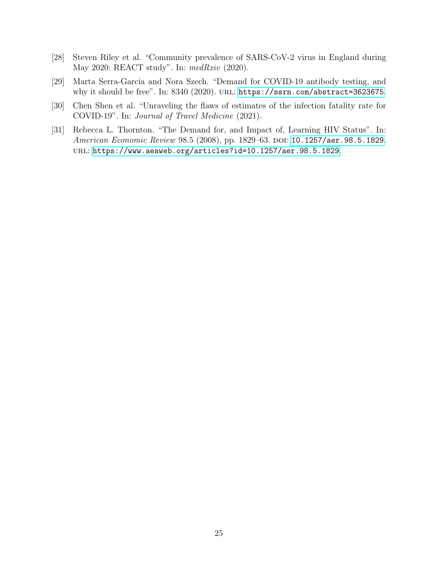- <span id="page-25-1"></span>[28] Steven Riley et al. "Community prevalence of SARS-CoV-2 virus in England during May 2020: REACT study". In: medRxiv (2020).
- <span id="page-25-3"></span>[29] Marta Serra-Garcia and Nora Szech. "Demand for COVID-19 antibody testing, and why it should be free". In: 8340 (2020). URL: <https://ssrn.com/abstract=3623675>.
- <span id="page-25-2"></span>[30] Chen Shen et al. "Unraveling the flaws of estimates of the infection fatality rate for COVID-19". In: Journal of Travel Medicine (2021).
- <span id="page-25-0"></span>[31] Rebecca L. Thornton. "The Demand for, and Impact of, Learning HIV Status". In: American Economic Review 98.5 (2008), pp. 1829-63. DOI: [10.1257/aer.98.5.1829](https://doi.org/10.1257/aer.98.5.1829). url: <https://www.aeaweb.org/articles?id=10.1257/aer.98.5.1829>.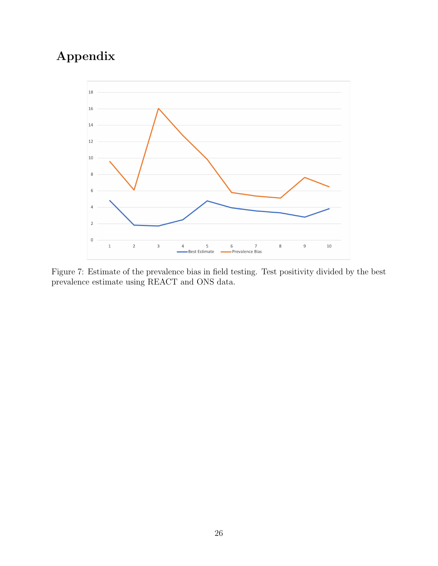# Appendix



Figure 7: Estimate of the prevalence bias in field testing. Test positivity divided by the best prevalence estimate using REACT and ONS data.